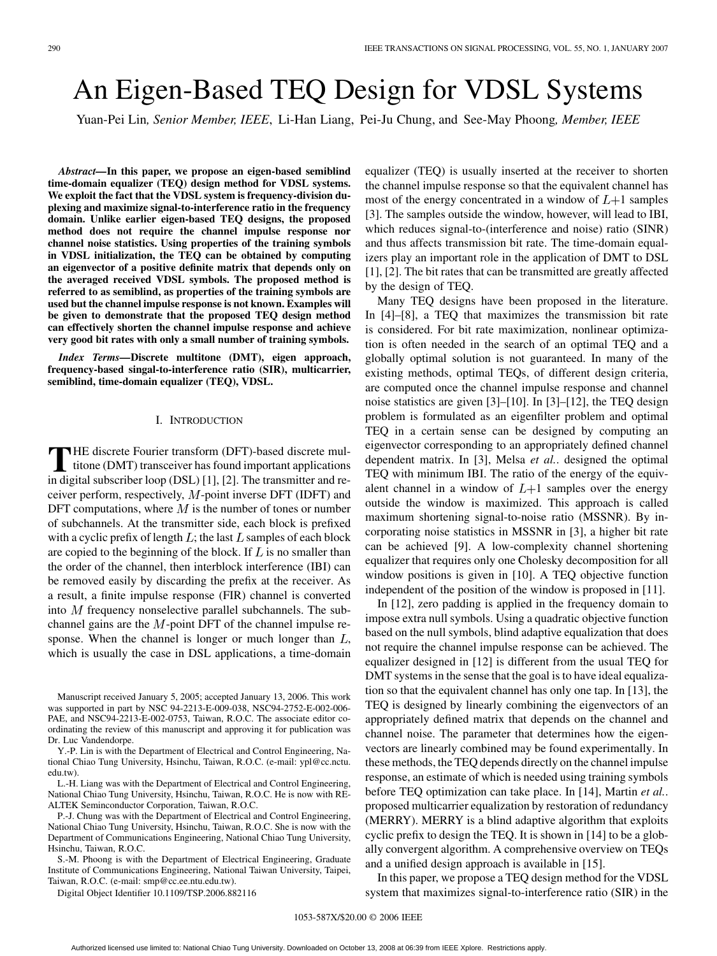# An Eigen-Based TEQ Design for VDSL Systems

Yuan-Pei Lin*, Senior Member, IEEE*, Li-Han Liang, Pei-Ju Chung, and See-May Phoong*, Member, IEEE*

*Abstract—***In this paper, we propose an eigen-based semiblind time-domain equalizer (TEQ) design method for VDSL systems. We exploit the fact that the VDSL system is frequency-division duplexing and maximize signal-to-interference ratio in the frequency domain. Unlike earlier eigen-based TEQ designs, the proposed method does not require the channel impulse response nor channel noise statistics. Using properties of the training symbols in VDSL initialization, the TEQ can be obtained by computing an eigenvector of a positive definite matrix that depends only on the averaged received VDSL symbols. The proposed method is referred to as semiblind, as properties of the training symbols are used but the channel impulse response is not known. Examples will be given to demonstrate that the proposed TEQ design method can effectively shorten the channel impulse response and achieve very good bit rates with only a small number of training symbols.**

*Index Terms—***Discrete multitone (DMT), eigen approach, frequency-based singal-to-interference ratio (SIR), multicarrier, semiblind, time-domain equalizer (TEQ), VDSL.**

#### I. INTRODUCTION

**T**HE discrete Fourier transform (DFT)-based discrete multitone (DMT) transceiver has found important applications in digital subscriber loop (DSL) [\[1\]](#page-7-0), [\[2\].](#page-7-0) The transmitter and receiver perform, respectively,  $M$ -point inverse DFT (IDFT) and DFT computations, where  $M$  is the number of tones or number of subchannels. At the transmitter side, each block is prefixed with a cyclic prefix of length  $L$ ; the last  $L$  samples of each block are copied to the beginning of the block. If  $L$  is no smaller than the order of the channel, then interblock interference (IBI) can be removed easily by discarding the prefix at the receiver. As a result, a finite impulse response (FIR) channel is converted into  $M$  frequency nonselective parallel subchannels. The subchannel gains are the  $M$ -point DFT of the channel impulse response. When the channel is longer or much longer than  $L$ , which is usually the case in DSL applications, a time-domain

Manuscript received January 5, 2005; accepted January 13, 2006. This work was supported in part by NSC 94-2213-E-009-038, NSC94-2752-E-002-006- PAE, and NSC94-2213-E-002-0753, Taiwan, R.O.C. The associate editor coordinating the review of this manuscript and approving it for publication was Dr. Luc Vandendorpe.

Y.-P. Lin is with the Department of Electrical and Control Engineering, National Chiao Tung University, Hsinchu, Taiwan, R.O.C. (e-mail: ypl@cc.nctu. edu.tw).

L.-H. Liang was with the Department of Electrical and Control Engineering, National Chiao Tung University, Hsinchu, Taiwan, R.O.C. He is now with RE-ALTEK Seminconductor Corporation, Taiwan, R.O.C.

P.-J. Chung was with the Department of Electrical and Control Engineering, National Chiao Tung University, Hsinchu, Taiwan, R.O.C. She is now with the Department of Communications Engineering, National Chiao Tung University, Hsinchu, Taiwan, R.O.C.

S.-M. Phoong is with the Department of Electrical Engineering, Graduate Institute of Communications Engineering, National Taiwan University, Taipei, Taiwan, R.O.C. (e-mail: smp@cc.ee.ntu.edu.tw).

Digital Object Identifier 10.1109/TSP.2006.882116

equalizer (TEQ) is usually inserted at the receiver to shorten the channel impulse response so that the equivalent channel has most of the energy concentrated in a window of  $L+1$  samples [\[3\]](#page-7-0). The samples outside the window, however, will lead to IBI, which reduces signal-to-(interference and noise) ratio (SINR) and thus affects transmission bit rate. The time-domain equalizers play an important role in the application of DMT to DSL [\[1\]](#page-7-0), [\[2\]](#page-7-0). The bit rates that can be transmitted are greatly affected by the design of TEQ.

Many TEQ designs have been proposed in the literature. In [\[4\]–\[8\],](#page-7-0) a TEQ that maximizes the transmission bit rate is considered. For bit rate maximization, nonlinear optimization is often needed in the search of an optimal TEQ and a globally optimal solution is not guaranteed. In many of the existing methods, optimal TEQs, of different design criteria, are computed once the channel impulse response and channel noise statistics are given [\[3\]–\[10\].](#page-7-0) In [\[3\]–\[12\]](#page-7-0), the TEQ design problem is formulated as an eigenfilter problem and optimal TEQ in a certain sense can be designed by computing an eigenvector corresponding to an appropriately defined channel dependent matrix. In [\[3\]](#page-7-0), Melsa *et al.*. designed the optimal TEQ with minimum IBI. The ratio of the energy of the equivalent channel in a window of  $L+1$  samples over the energy outside the window is maximized. This approach is called maximum shortening signal-to-noise ratio (MSSNR). By incorporating noise statistics in MSSNR in [\[3\]](#page-7-0), a higher bit rate can be achieved [\[9\].](#page-7-0) A low-complexity channel shortening equalizer that requires only one Cholesky decomposition for all window positions is given in [\[10\]](#page-7-0). A TEQ objective function independent of the position of the window is proposed in [\[11\].](#page-7-0)

In [\[12\],](#page-7-0) zero padding is applied in the frequency domain to impose extra null symbols. Using a quadratic objective function based on the null symbols, blind adaptive equalization that does not require the channel impulse response can be achieved. The equalizer designed in [\[12\]](#page-7-0) is different from the usual TEQ for DMT systems in the sense that the goal is to have ideal equalization so that the equivalent channel has only one tap. In [\[13\],](#page-7-0) the TEQ is designed by linearly combining the eigenvectors of an appropriately defined matrix that depends on the channel and channel noise. The parameter that determines how the eigenvectors are linearly combined may be found experimentally. In these methods, the TEQ depends directly on the channel impulse response, an estimate of which is needed using training symbols before TEQ optimization can take place. In [\[14\],](#page-7-0) Martin *et al.*. proposed multicarrier equalization by restoration of redundancy (MERRY). MERRY is a blind adaptive algorithm that exploits cyclic prefix to design the TEQ. It is shown in [\[14\]](#page-7-0) to be a globally convergent algorithm. A comprehensive overview on TEQs and a unified design approach is available in [\[15\]](#page-7-0).

In this paper, we propose a TEQ design method for the VDSL system that maximizes signal-to-interference ratio (SIR) in the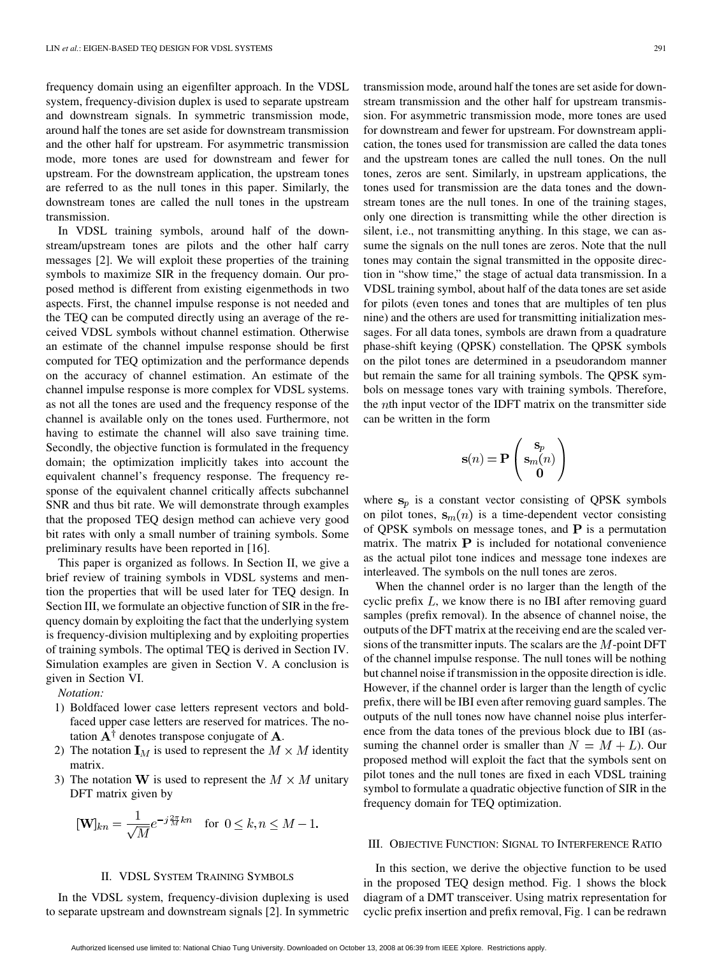<span id="page-1-0"></span>frequency domain using an eigenfilter approach. In the VDSL system, frequency-division duplex is used to separate upstream and downstream signals. In symmetric transmission mode, around half the tones are set aside for downstream transmission and the other half for upstream. For asymmetric transmission mode, more tones are used for downstream and fewer for upstream. For the downstream application, the upstream tones are referred to as the null tones in this paper. Similarly, the downstream tones are called the null tones in the upstream transmission.

In VDSL training symbols, around half of the downstream/upstream tones are pilots and the other half carry messages [\[2\].](#page-7-0) We will exploit these properties of the training symbols to maximize SIR in the frequency domain. Our proposed method is different from existing eigenmethods in two aspects. First, the channel impulse response is not needed and the TEQ can be computed directly using an average of the received VDSL symbols without channel estimation. Otherwise an estimate of the channel impulse response should be first computed for TEQ optimization and the performance depends on the accuracy of channel estimation. An estimate of the channel impulse response is more complex for VDSL systems. as not all the tones are used and the frequency response of the channel is available only on the tones used. Furthermore, not having to estimate the channel will also save training time. Secondly, the objective function is formulated in the frequency domain; the optimization implicitly takes into account the equivalent channel's frequency response. The frequency response of the equivalent channel critically affects subchannel SNR and thus bit rate. We will demonstrate through examples that the proposed TEQ design method can achieve very good bit rates with only a small number of training symbols. Some preliminary results have been reported in [\[16\]](#page-7-0).

This paper is organized as follows. In Section II, we give a brief review of training symbols in VDSL systems and mention the properties that will be used later for TEQ design. In Section III, we formulate an objective function of SIR in the frequency domain by exploiting the fact that the underlying system is frequency-division multiplexing and by exploiting properties of training symbols. The optimal TEQ is derived in [Section IV.](#page-4-0) Simulation examples are given in [Section V](#page-5-0). A conclusion is given in [Section VI.](#page-7-0)

*Notation:*

- 1) Boldfaced lower case letters represent vectors and boldfaced upper case letters are reserved for matrices. The notation  $A^{\dagger}$  denotes transpose conjugate of A.
- 2) The notation  $\mathbf{I}_M$  is used to represent the  $M \times M$  identity matrix.
- 3) The notation W is used to represent the  $M \times M$  unitary DFT matrix given by

$$
[\mathbf{W}]_{kn} = \frac{1}{\sqrt{M}} e^{-j\frac{2\pi}{M}kn} \quad \text{for } 0 \le k, n \le M - 1.
$$

# II. VDSL SYSTEM TRAINING SYMBOLS

In the VDSL system, frequency-division duplexing is used to separate upstream and downstream signals [\[2\].](#page-7-0) In symmetric transmission mode, around half the tones are set aside for downstream transmission and the other half for upstream transmission. For asymmetric transmission mode, more tones are used for downstream and fewer for upstream. For downstream application, the tones used for transmission are called the data tones and the upstream tones are called the null tones. On the null tones, zeros are sent. Similarly, in upstream applications, the tones used for transmission are the data tones and the downstream tones are the null tones. In one of the training stages, only one direction is transmitting while the other direction is silent, i.e., not transmitting anything. In this stage, we can assume the signals on the null tones are zeros. Note that the null tones may contain the signal transmitted in the opposite direction in "show time," the stage of actual data transmission. In a VDSL training symbol, about half of the data tones are set aside for pilots (even tones and tones that are multiples of ten plus nine) and the others are used for transmitting initialization messages. For all data tones, symbols are drawn from a quadrature phase-shift keying (QPSK) constellation. The QPSK symbols on the pilot tones are determined in a pseudorandom manner but remain the same for all training symbols. The QPSK symbols on message tones vary with training symbols. Therefore, the  $n$ th input vector of the IDFT matrix on the transmitter side can be written in the form

$$
\mathbf{s}(n) = \mathbf{P}\begin{pmatrix} \mathbf{s}_p \\ \mathbf{s}_m(n) \\ \mathbf{0} \end{pmatrix}
$$

where  $s_p$  is a constant vector consisting of QPSK symbols on pilot tones,  $s_m(n)$  is a time-dependent vector consisting of QPSK symbols on message tones, and  $P$  is a permutation matrix. The matrix  $P$  is included for notational convenience as the actual pilot tone indices and message tone indexes are interleaved. The symbols on the null tones are zeros.

When the channel order is no larger than the length of the cyclic prefix  $L$ , we know there is no IBI after removing guard samples (prefix removal). In the absence of channel noise, the outputs of the DFT matrix at the receiving end are the scaled versions of the transmitter inputs. The scalars are the  $M$ -point DFT of the channel impulse response. The null tones will be nothing but channel noise if transmission in the opposite direction is idle. However, if the channel order is larger than the length of cyclic prefix, there will be IBI even after removing guard samples. The outputs of the null tones now have channel noise plus interference from the data tones of the previous block due to IBI (assuming the channel order is smaller than  $N = M + L$ ). Our proposed method will exploit the fact that the symbols sent on pilot tones and the null tones are fixed in each VDSL training symbol to formulate a quadratic objective function of SIR in the frequency domain for TEQ optimization.

# III. OBJECTIVE FUNCTION: SIGNAL TO INTERFERENCE RATIO

In this section, we derive the objective function to be used in the proposed TEQ design method. [Fig. 1](#page-2-0) shows the block diagram of a DMT transceiver. Using matrix representation for cyclic prefix insertion and prefix removal, [Fig. 1](#page-2-0) can be redrawn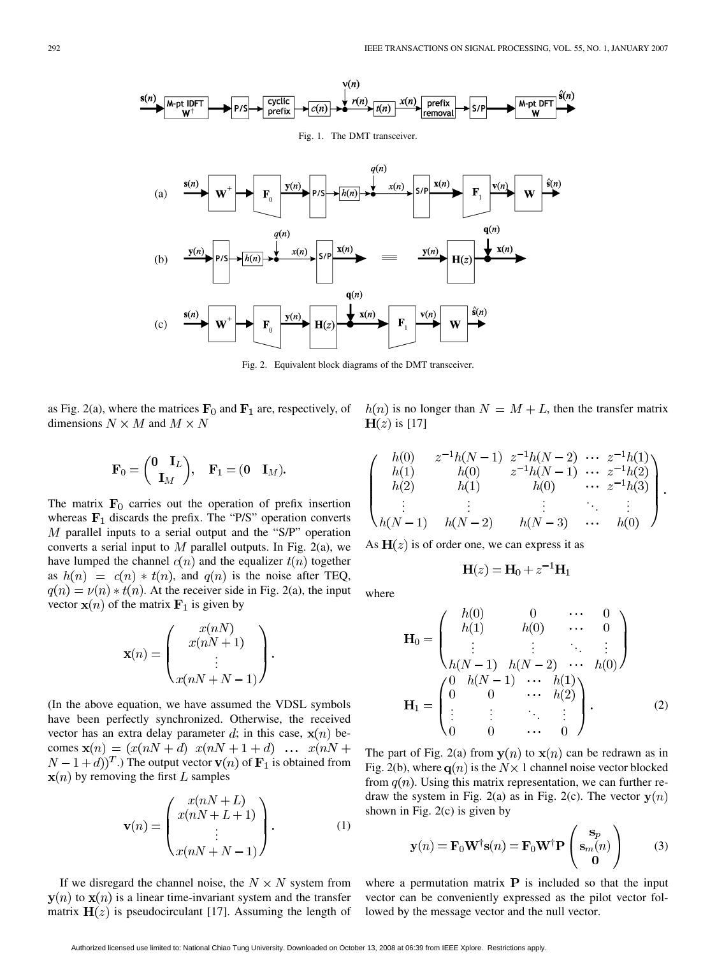<span id="page-2-0"></span>

Fig. 2. Equivalent block diagrams of the DMT transceiver.

dimensions  $N \times M$  and  $M \times N$ 

$$
\mathbf{F}_0 = \begin{pmatrix} \mathbf{0} & \mathbf{I}_L \\ \mathbf{I}_M \end{pmatrix}, \quad \mathbf{F}_1 = (\mathbf{0} \quad \mathbf{I}_M).
$$

The matrix  $\mathbf{F}_0$  carries out the operation of prefix insertion whereas  $\mathbf{F}_1$  discards the prefix. The "P/S" operation converts  $M$  parallel inputs to a serial output and the "S/P" operation converts a serial input to M parallel outputs. In Fig. 2(a), we have lumped the channel  $c(n)$  and the equalizer  $t(n)$  together as  $h(n) = c(n) * t(n)$ , and  $q(n)$  is the noise after TEQ,  $q(n) = \nu(n) * t(n)$ . At the receiver side in Fig. 2(a), the input vector  $\mathbf{x}(n)$  of the matrix  $\mathbf{F}_1$  is given by

$$
\mathbf{x}(n) = \begin{pmatrix} x(nN) \\ x(nN+1) \\ \vdots \\ x(nN+N-1) \end{pmatrix}.
$$

(In the above equation, we have assumed the VDSL symbols have been perfectly synchronized. Otherwise, the received vector has an extra delay parameter d; in this case,  $\mathbf{x}(n)$  becomes  $\mathbf{x}(n) = (x(nN + d) x(nN + 1 + d) ... x(nN + d)$  $(N-1+d))^T$ .) The output vector  $\mathbf{v}(n)$  of  $\mathbf{F}_1$  is obtained from  $\mathbf{x}(n)$  by removing the first L samples

$$
\mathbf{v}(n) = \begin{pmatrix} x(nN+L) \\ x(nN+L+1) \\ \vdots \\ x(nN+N-1) \end{pmatrix} . \tag{1}
$$

If we disregard the channel noise, the  $N \times N$  system from  $y(n)$  to  $x(n)$  is a linear time-invariant system and the transfer matrix  $H(z)$  is pseudocirculant [\[17\]](#page-7-0). Assuming the length of

as Fig. 2(a), where the matrices  $\mathbf{F}_0$  and  $\mathbf{F}_1$  are, respectively, of  $h(n)$  is no longer than  $N = M + L$ , then the transfer matrix  $H(z)$  is [\[17\]](#page-7-0)

$$
\begin{pmatrix}\nh(0) & z^{-1}h(N-1) & z^{-1}h(N-2) & \cdots & z^{-1}h(1) \\
h(1) & h(0) & z^{-1}h(N-1) & \cdots & z^{-1}h(2) \\
h(2) & h(1) & h(0) & \cdots & z^{-1}h(3) \\
\vdots & \vdots & \vdots & \ddots & \vdots \\
h(N-1) & h(N-2) & h(N-3) & \cdots & h(0)\n\end{pmatrix}.
$$

As  $H(z)$  is of order one, we can express it as

$$
\mathbf{H}(z) = \mathbf{H}_0 + z^{-1} \mathbf{H}_1
$$

where

$$
\mathbf{H}_0 = \begin{pmatrix} h(0) & 0 & \cdots & 0 \\ h(1) & h(0) & \cdots & 0 \\ \vdots & \vdots & \ddots & \vdots \\ h(N-1) & h(N-2) & \cdots & h(0) \end{pmatrix}
$$

$$
\mathbf{H}_1 = \begin{pmatrix} 0 & h(N-1) & \cdots & h(1) \\ 0 & 0 & \cdots & h(2) \\ \vdots & \vdots & \ddots & \vdots \\ 0 & 0 & \cdots & 0 \end{pmatrix} .
$$
(2)

The part of Fig. 2(a) from  $y(n)$  to  $x(n)$  can be redrawn as in Fig. 2(b), where  $q(n)$  is the  $N \times 1$  channel noise vector blocked from  $q(n)$ . Using this matrix representation, we can further redraw the system in Fig. 2(a) as in Fig. 2(c). The vector  $y(n)$ shown in Fig. 2(c) is given by

$$
\mathbf{y}(n) = \mathbf{F}_0 \mathbf{W}^\dagger \mathbf{s}(n) = \mathbf{F}_0 \mathbf{W}^\dagger \mathbf{P} \begin{pmatrix} \mathbf{s}_p \\ \mathbf{s}_m(n) \\ \mathbf{0} \end{pmatrix} \tag{3}
$$

where a permutation matrix  $P$  is included so that the input vector can be conveniently expressed as the pilot vector followed by the message vector and the null vector.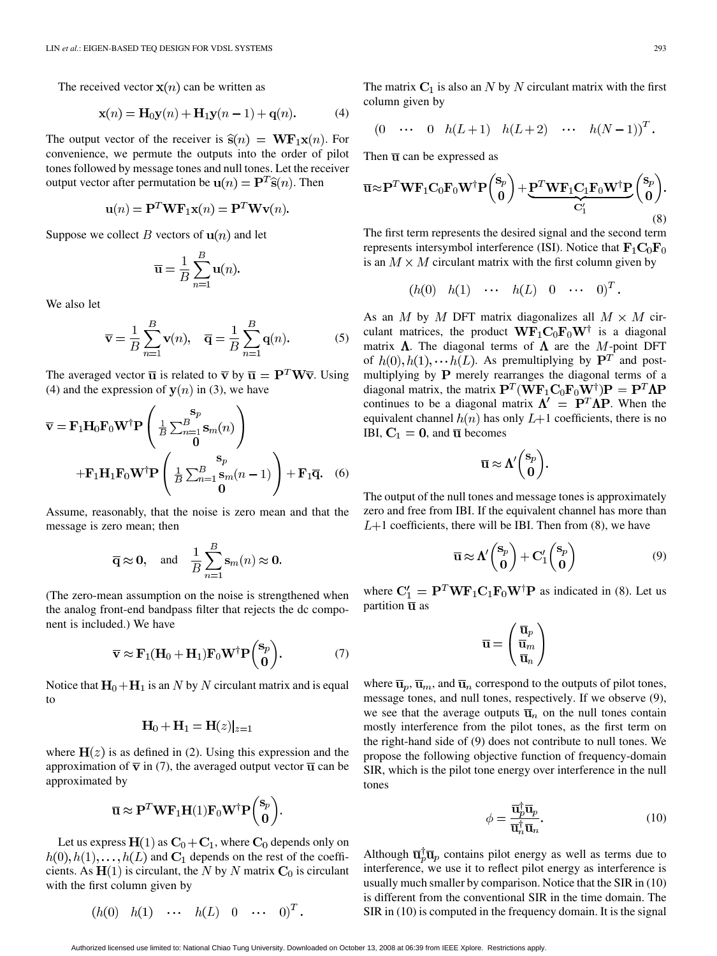<span id="page-3-0"></span>The received vector  $x(n)$  can be written as

$$
\mathbf{x}(n) = \mathbf{H}_0 \mathbf{y}(n) + \mathbf{H}_1 \mathbf{y}(n-1) + \mathbf{q}(n). \tag{4}
$$

The output vector of the receiver is  $\hat{\mathbf{s}}(n) = \mathbf{W} \mathbf{F}_1 \mathbf{x}(n)$ . For convenience, we permute the outputs into the order of pilot tones followed by message tones and null tones. Let the receiver output vector after permutation be  $\mathbf{u}(n) = \mathbf{P}^T \hat{\mathbf{s}}(n)$ . Then

$$
\mathbf{u}(n) = \mathbf{P}^T \mathbf{W} \mathbf{F}_1 \mathbf{x}(n) = \mathbf{P}^T \mathbf{W} \mathbf{v}(n).
$$

Suppose we collect B vectors of  $\mathbf{u}(n)$  and let

$$
\overline{\mathbf{u}} = \frac{1}{B} \sum_{n=1}^{B} \mathbf{u}(n)
$$

We also let

$$
\overline{\mathbf{v}} = \frac{1}{B} \sum_{n=1}^{B} \mathbf{v}(n), \quad \overline{\mathbf{q}} = \frac{1}{B} \sum_{n=1}^{B} \mathbf{q}(n).
$$
 (5)

The averaged vector  $\overline{u}$  is related to  $\overline{v}$  by  $\overline{u} = P^T W \overline{v}$ . Using (4) and the expression of  $y(n)$  in [\(3\)](#page-2-0), we have

$$
\overline{\mathbf{v}} = \mathbf{F}_1 \mathbf{H}_0 \mathbf{F}_0 \mathbf{W}^\dagger \mathbf{P} \begin{pmatrix} \mathbf{s}_p \\ \frac{1}{B} \sum_{n=1}^B \mathbf{s}_m(n) \\ \mathbf{0} \end{pmatrix}
$$

$$
+ \mathbf{F}_1 \mathbf{H}_1 \mathbf{F}_0 \mathbf{W}^\dagger \mathbf{P} \begin{pmatrix} \mathbf{s}_p \\ \frac{1}{B} \sum_{n=1}^B \mathbf{s}_m(n-1) \\ \mathbf{0} \end{pmatrix} + \mathbf{F}_1 \overline{\mathbf{q}}. \quad (6)
$$

Assume, reasonably, that the noise is zero mean and that the message is zero mean; then

$$
\overline{\mathbf{q}} \approx \mathbf{0}
$$
, and  $\frac{1}{B} \sum_{n=1}^{B} \mathbf{s}_m(n) \approx \mathbf{0}$ .

(The zero-mean assumption on the noise is strengthened when the analog front-end bandpass filter that rejects the dc component is included.) We have

$$
\overline{\mathbf{v}} \approx \mathbf{F}_1(\mathbf{H}_0 + \mathbf{H}_1)\mathbf{F}_0\mathbf{W}^\dagger\mathbf{P}\begin{pmatrix} \mathbf{s}_p \\ \mathbf{0} \end{pmatrix}.
$$
 (7)

Notice that  $H_0 + H_1$  is an N by N circulant matrix and is equal to

$$
\mathbf{H}_0 + \mathbf{H}_1 = \mathbf{H}(z)|_{z=1}
$$

where  $H(z)$  is as defined in [\(2\)](#page-2-0). Using this expression and the approximation of  $\overline{v}$  in (7), the averaged output vector  $\overline{u}$  can be approximated by

$$
\overline{\mathbf{u}} \approx \mathbf{P}^T \mathbf{W} \mathbf{F}_1 \mathbf{H}(1) \mathbf{F}_0 \mathbf{W}^\dagger \mathbf{P} \begin{pmatrix} \mathbf{s}_p \\ \mathbf{0} \end{pmatrix}.
$$

Let us express  $H(1)$  as  $C_0 + C_1$ , where  $C_0$  depends only on  $h(0), h(1), \ldots, h(L)$  and  $C_1$  depends on the rest of the coefficients. As  $H(1)$  is circulant, the N by N matrix  $C_0$  is circulant with the first column given by

$$
(h(0) \quad h(1) \quad \cdots \quad h(L) \quad 0 \quad \cdots \quad 0)^T
$$

The matrix  $C_1$  is also an N by N circulant matrix with the first column given by

$$
(0 \cdots 0 \quad h(L+1) \quad h(L+2) \quad \cdots \quad h(N-1))^{T}
$$
.

Then  $\overline{u}$  can be expressed as

$$
\overline{\mathbf{u}} \approx \mathbf{P}^T \mathbf{W} \mathbf{F}_1 \mathbf{C}_0 \mathbf{F}_0 \mathbf{W}^\dagger \mathbf{P} \begin{pmatrix} \mathbf{s}_p \\ \mathbf{0} \end{pmatrix} + \underbrace{\mathbf{P}^T \mathbf{W} \mathbf{F}_1 \mathbf{C}_1 \mathbf{F}_0 \mathbf{W}^\dagger \mathbf{P}}_{\mathbf{C}_1'} \begin{pmatrix} \mathbf{s}_p \\ \mathbf{0} \end{pmatrix} .
$$
\n(8)

The first term represents the desired signal and the second term represents intersymbol interference (ISI). Notice that  $\mathbf{F}_1\mathbf{C}_0\mathbf{F}_0$ is an  $M \times M$  circulant matrix with the first column given by

$$
(h(0) \quad h(1) \quad \cdots \quad h(L) \quad 0 \quad \cdots \quad 0)^T.
$$

As an M by M DFT matrix diagonalizes all  $M \times M$  circulant matrices, the product  $WF_1C_0F_0W^{\dagger}$  is a diagonal matrix  $\Lambda$ . The diagonal terms of  $\Lambda$  are the M-point DFT of  $h(0), h(1), \cdots h(L)$ . As premultiplying by  $\mathbf{P}^T$  and postmultiplying by  $P$  merely rearranges the diagonal terms of a diagonal matrix, the matrix  $\mathbf{P}^T(\mathbf{W}\mathbf{F}_1\mathbf{C}_0\mathbf{F}_0\mathbf{W}^{\dagger})\mathbf{P} = \mathbf{P}^T\mathbf{\Lambda}\mathbf{P}$ continues to be a diagonal matrix  $\Lambda' = P^T \Lambda P$ . When the equivalent channel  $h(n)$  has only  $L+1$  coefficients, there is no IBI,  $C_1 = 0$ , and  $\overline{u}$  becomes

$$
\overline{\mathbf{u}} \approx \Lambda' \begin{pmatrix} \mathbf{s}_p \\ \mathbf{0} \end{pmatrix}.
$$

The output of the null tones and message tones is approximately zero and free from IBI. If the equivalent channel has more than  $L+1$  coefficients, there will be IBI. Then from (8), we have

$$
\overline{\mathbf{u}} \approx \Lambda' \begin{pmatrix} \mathbf{s}_p \\ \mathbf{0} \end{pmatrix} + \mathbf{C}'_1 \begin{pmatrix} \mathbf{s}_p \\ \mathbf{0} \end{pmatrix} \tag{9}
$$

where  $C_1' = P^T W F_1 C_1 F_0 W^{\dagger} P$  as indicated in (8). Let us partition  $\overline{u}$  as

$$
\overline{\mathbf{u}} = \left(\begin{matrix} \overline{\mathbf{u}}_p \\ \overline{\mathbf{u}}_m \\ \overline{\mathbf{u}}_n \end{matrix}\right)
$$

where  $\overline{\mathbf{u}}_p$ ,  $\overline{\mathbf{u}}_m$ , and  $\overline{\mathbf{u}}_n$  correspond to the outputs of pilot tones, message tones, and null tones, respectively. If we observe (9), we see that the average outputs  $\overline{\mathbf{u}}_n$  on the null tones contain mostly interference from the pilot tones, as the first term on the right-hand side of (9) does not contribute to null tones. We propose the following objective function of frequency-domain SIR, which is the pilot tone energy over interference in the null tones

$$
\phi = \frac{\overline{\mathbf{u}}_p^{\dagger} \overline{\mathbf{u}}_p}{\overline{\mathbf{u}}_n^{\dagger} \overline{\mathbf{u}}_n}.
$$
\n(10)

Although  $\overline{\mathbf{u}}_p^{\dagger} \overline{\mathbf{u}}_p$  contains pilot energy as well as terms due to interference, we use it to reflect pilot energy as interference is usually much smaller by comparison. Notice that the SIR in (10) is different from the conventional SIR in the time domain. The SIR in (10) is computed in the frequency domain. It is the signal

Authorized licensed use limited to: National Chiao Tung University. Downloaded on October 13, 2008 at 06:39 from IEEE Xplore. Restrictions apply.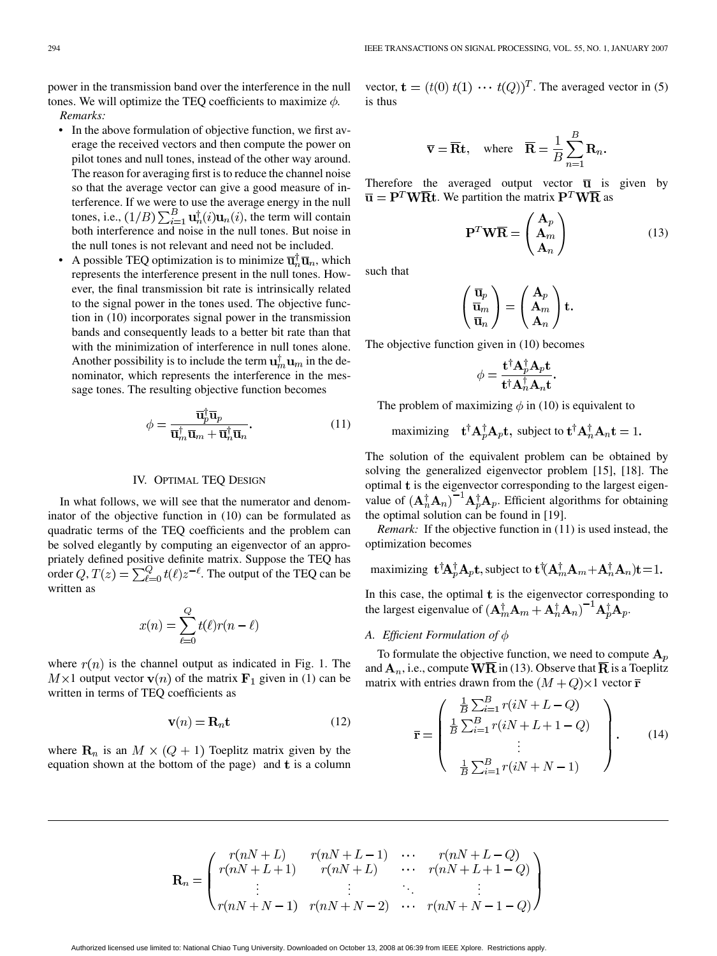<span id="page-4-0"></span>power in the transmission band over the interference in the null tones. We will optimize the TEQ coefficients to maximize  $\phi$ . *Remarks:*

- In the above formulation of objective function, we first average the received vectors and then compute the power on pilot tones and null tones, instead of the other way around. The reason for averaging first is to reduce the channel noise so that the average vector can give a good measure of interference. If we were to use the average energy in the null tones, i.e.,  $(1/B)\sum_{i=1}^{B} \mathbf{u}_n^{\dagger}(i)\mathbf{u}_n(i)$ , the term will contain both interference and noise in the null tones. But noise in the null tones is not relevant and need not be included.
- A possible TEQ optimization is to minimize  $\overline{\mathbf{u}}_n^{\dagger}$ , which represents the interference present in the null tones. However, the final transmission bit rate is intrinsically related to the signal power in the tones used. The objective function in [\(10\)](#page-3-0) incorporates signal power in the transmission bands and consequently leads to a better bit rate than that with the minimization of interference in null tones alone. Another possibility is to include the term  $\mathbf{u}_m^{\dagger} \mathbf{u}_m$  in the denominator, which represents the interference in the message tones. The resulting objective function becomes

$$
\phi = \frac{\overline{\mathbf{u}}_p^{\dagger} \overline{\mathbf{u}}_p}{\overline{\mathbf{u}}_m^{\dagger} \overline{\mathbf{u}}_m + \overline{\mathbf{u}}_n^{\dagger} \overline{\mathbf{u}}_n}.
$$
\n(11)

#### IV. OPTIMAL TEQ DESIGN

In what follows, we will see that the numerator and denominator of the objective function in [\(10\)](#page-3-0) can be formulated as quadratic terms of the TEQ coefficients and the problem can be solved elegantly by computing an eigenvector of an appropriately defined positive definite matrix. Suppose the TEQ has order  $Q, T(z) = \sum_{\ell=0}^{Q} t(\ell) z^{-\ell}$ . The output of the TEQ can be written as

$$
x(n) = \sum_{\ell=0}^{Q} t(\ell)r(n-\ell)
$$

where  $r(n)$  is the channel output as indicated in [Fig. 1.](#page-2-0) The  $M \times 1$  output vector  $\mathbf{v}(n)$  of the matrix  $\mathbf{F}_1$  given in [\(1\)](#page-2-0) can be written in terms of TEQ coefficients as

$$
\mathbf{v}(n) = \mathbf{R}_n \mathbf{t} \tag{12}
$$

where  $\mathbf{R}_n$  is an  $M \times (Q + 1)$  Toeplitz matrix given by the equation shown at the bottom of the page) and  $t$  is a column vector,  $\mathbf{t} = (t(0) t(1) \cdots t(Q))^T$ . The averaged vector in [\(5\)](#page-3-0) is thus

$$
\overline{\mathbf{v}} = \overline{\mathbf{R}} \mathbf{t}
$$
, where  $\overline{\mathbf{R}} = \frac{1}{B} \sum_{n=1}^{B} \mathbf{R}_n$ 

Therefore the averaged output vector  $\overline{u}$  is given by  $\overline{\mathbf{u}} = \mathbf{P}^T \mathbf{W} \overline{\mathbf{R}}$  We partition the matrix  $\mathbf{P}^T \mathbf{W} \overline{\mathbf{R}}$  as

$$
\mathbf{P}^T \mathbf{W} \overline{\mathbf{R}} = \begin{pmatrix} \mathbf{A}_p \\ \mathbf{A}_m \\ \mathbf{A}_n \end{pmatrix} \tag{13}
$$

such that

$$
\begin{pmatrix}\overline{\mathbf{u}}_p\\ \overline{\mathbf{u}}_m\\ \overline{\mathbf{u}}_n\end{pmatrix}=\begin{pmatrix}\mathbf{A}_p\\ \mathbf{A}_m\\ \mathbf{A}_n\end{pmatrix}\mathbf{t}.
$$

The objective function given in [\(10\)](#page-3-0) becomes

and a state

$$
\phi = \frac{\mathbf{t}^\dagger \mathbf{A}_p^\dagger \mathbf{A}_p \mathbf{t}}{\mathbf{t}^\dagger \mathbf{A}_n^\dagger \mathbf{A}_n \mathbf{t}}.
$$

The problem of maximizing  $\phi$  in [\(10\)](#page-3-0) is equivalent to

maximizing 
$$
\mathbf{t}^{\dagger} \mathbf{A}_n^{\dagger} \mathbf{A}_p \mathbf{t}
$$
, subject to  $\mathbf{t}^{\dagger} \mathbf{A}_n^{\dagger} \mathbf{A}_n \mathbf{t} = 1$ .

The solution of the equivalent problem can be obtained by solving the generalized eigenvector problem [\[15\], \[18\]](#page-7-0). The optimal  $t$  is the eigenvector corresponding to the largest eigenvalue of  $(A_n^{\dagger} A_n)^{-1} A_p^{\dagger} A_p$ . Efficient algorithms for obtaining the optimal solution can be found in [\[19\]](#page-7-0).

*Remark:* If the objective function in (11) is used instead, the optimization becomes

maximizing 
$$
\mathbf{t}^{\dagger} \mathbf{A}_p^{\dagger} \mathbf{A}_p \mathbf{t}
$$
, subject to  $\mathbf{t}^{\dagger} (\mathbf{A}_m^{\dagger} \mathbf{A}_m + \mathbf{A}_n^{\dagger} \mathbf{A}_n) \mathbf{t} = 1$ .

In this case, the optimal  $t$  is the eigenvector corresponding to the largest eigenvalue of  $\left(\mathbf{A}_m^{\dagger} \mathbf{A}_m + \mathbf{A}_n^{\dagger} \mathbf{A}_n\right)^{-1} \mathbf{A}_p^{\dagger} \mathbf{A}_p$ .

#### *A. Efficient Formulation of*

To formulate the objective function, we need to compute  $A_p$ and  $A_n$ , i.e., compute WR in (13). Observe that R is a Toeplitz matrix with entries drawn from the  $(M + Q) \times 1$  vector  $\bar{r}$ 

$$
\overline{\mathbf{r}} = \begin{pmatrix} \frac{1}{B} \sum_{i=1}^{B} r(iN + L - Q) \\ \frac{1}{B} \sum_{i=1}^{B} r(iN + L + 1 - Q) \\ \vdots \\ \frac{1}{B} \sum_{i=1}^{B} r(iN + N - 1) \end{pmatrix} . \tag{14}
$$

$$
\mathbf{R}_{n} = \begin{pmatrix} r(nN+L) & r(nN+L-1) & \cdots & r(nN+L-Q) \\ r(nN+L+1) & r(nN+L) & \cdots & r(nN+L+1-Q) \\ \vdots & \vdots & \ddots & \vdots \\ r(nN+N-1) & r(nN+N-2) & \cdots & r(nN+N-1-Q) \end{pmatrix}
$$

Authorized licensed use limited to: National Chiao Tung University. Downloaded on October 13, 2008 at 06:39 from IEEE Xplore. Restrictions apply.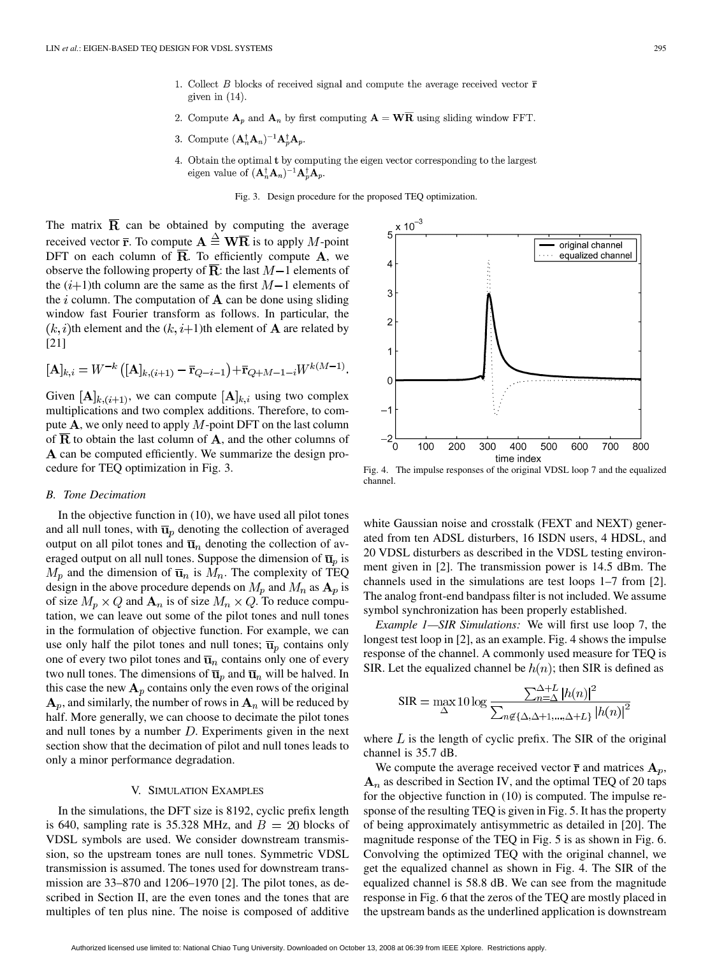- <span id="page-5-0"></span>1. Collect B blocks of received signal and compute the average received vector  $\bar{r}$ given in  $(14)$ .
- 2. Compute  $\mathbf{A}_p$  and  $\mathbf{A}_n$  by first computing  $\mathbf{A} = \mathbf{W}\overline{\mathbf{R}}$  using sliding window FFT.
- 3. Compute  $(\mathbf{A}_n^{\dagger} \mathbf{A}_n)^{-1} \mathbf{A}_p^{\dagger} \mathbf{A}_p$ .
- 4. Obtain the optimal t by computing the eigen vector corresponding to the largest eigen value of  $(\mathbf{A}_n^{\dagger} \mathbf{A}_n)^{-1} \mathbf{A}_p^{\dagger} \mathbf{A}_p$ .

Fig. 3. Design procedure for the proposed TEQ optimization.

 $x 10^{-3}$ 

The matrix  $\overline{R}$  can be obtained by computing the average received vector  $\overline{\mathbf{r}}$ . To compute  $\mathbf{A} \triangleq \mathbf{W} \overline{\mathbf{R}}$  is to apply M-point DFT on each column of  $\overline{R}$ . To efficiently compute A, we observe the following property of  $\overline{R}$ : the last  $M-1$  elements of the  $(i+1)$ th column are the same as the first  $M-1$  elements of the  $i$  column. The computation of  $A$  can be done using sliding window fast Fourier transform as follows. In particular, the  $(k, i)$ th element and the  $(k, i+1)$ th element of **A** are related by [\[21\]](#page-7-0)

$$
[\mathbf{A}]_{k,i} = W^{-k} \left( [\mathbf{A}]_{k,(i+1)} - \overline{\mathbf{r}}_{Q-i-1} \right) + \overline{\mathbf{r}}_{Q+M-1-i} W^{k(M-1)}.
$$

Given  $[A]_{k,(i+1)}$ , we can compute  $[A]_{k,i}$  using two complex multiplications and two complex additions. Therefore, to compute  $\bf{A}$ , we only need to apply  $M$ -point DFT on the last column of  $\overline{R}$  to obtain the last column of  $A$ , and the other columns of A can be computed efficiently. We summarize the design procedure for TEQ optimization in Fig. 3.

#### *B. Tone Decimation*

In the objective function in [\(10\)](#page-3-0), we have used all pilot tones and all null tones, with  $\overline{u}_p$  denoting the collection of averaged output on all pilot tones and  $\overline{u}_n$  denoting the collection of averaged output on all null tones. Suppose the dimension of  $\overline{u}_p$  is  $M_p$  and the dimension of  $\overline{\mathbf{u}}_n$  is  $M_n$ . The complexity of TEQ design in the above procedure depends on  $M_p$  and  $M_n$  as  $A_p$  is of size  $M_p \times Q$  and  $\mathbf{A}_n$  is of size  $M_n \times Q$ . To reduce computation, we can leave out some of the pilot tones and null tones in the formulation of objective function. For example, we can use only half the pilot tones and null tones;  $\overline{\mathbf{u}}_p$  contains only one of every two pilot tones and  $\overline{u}_n$  contains only one of every two null tones. The dimensions of  $\overline{\mathbf{u}}_p$  and  $\overline{\mathbf{u}}_n$  will be halved. In this case the new  $A_p$  contains only the even rows of the original  $A_p$ , and similarly, the number of rows in  $A_n$  will be reduced by half. More generally, we can choose to decimate the pilot tones and null tones by a number  $D$ . Experiments given in the next section show that the decimation of pilot and null tones leads to only a minor performance degradation.

## V. SIMULATION EXAMPLES

In the simulations, the DFT size is 8192, cyclic prefix length is 640, sampling rate is 35.328 MHz, and  $B = 20$  blocks of VDSL symbols are used. We consider downstream transmission, so the upstream tones are null tones. Symmetric VDSL transmission is assumed. The tones used for downstream transmission are 33–870 and 1206–1970 [\[2\]](#page-7-0). The pilot tones, as described in [Section II](#page-1-0), are the even tones and the tones that are multiples of ten plus nine. The noise is composed of additive

original channel equalized channel 3  $\overline{2}$ 1 0 ٠O 100 200 300 400 500 600 700 800 time index

Fig. 4. The impulse responses of the original VDSL loop 7 and the equalized channel.

white Gaussian noise and crosstalk (FEXT and NEXT) generated from ten ADSL disturbers, 16 ISDN users, 4 HDSL, and 20 VDSL disturbers as described in the VDSL testing environment given in [\[2\].](#page-7-0) The transmission power is 14.5 dBm. The channels used in the simulations are test loops 1–7 from [\[2\].](#page-7-0) The analog front-end bandpass filter is not included. We assume symbol synchronization has been properly established.

*Example 1—SIR Simulations:* We will first use loop 7, the longest test loop in [\[2\]](#page-7-0), as an example. Fig. 4 shows the impulse response of the channel. A commonly used measure for TEQ is SIR. Let the equalized channel be  $h(n)$ ; then SIR is defined as

$$
SIR = \max_{\Delta} 10 \log \frac{\sum_{n=\Delta}^{\Delta + L} |h(n)|^2}{\sum_{n \notin \{\Delta, \Delta + 1, \dots, \Delta + L\}} |h(n)|^2}
$$

where  $L$  is the length of cyclic prefix. The SIR of the original channel is 35.7 dB.

We compute the average received vector  $\bar{\mathbf{r}}$  and matrices  $\mathbf{A}_p$ ,  $A_n$  as described in [Section IV](#page-4-0), and the optimal TEQ of 20 taps for the objective function in [\(10\)](#page-3-0) is computed. The impulse response of the resulting TEQ is given in [Fig. 5.](#page-6-0) It has the property of being approximately antisymmetric as detailed in [\[20\]](#page-7-0). The magnitude response of the TEQ in [Fig. 5](#page-6-0) is as shown in [Fig. 6.](#page-6-0) Convolving the optimized TEQ with the original channel, we get the equalized channel as shown in Fig. 4. The SIR of the equalized channel is 58.8 dB. We can see from the magnitude response in [Fig. 6](#page-6-0) that the zeros of the TEQ are mostly placed in the upstream bands as the underlined application is downstream

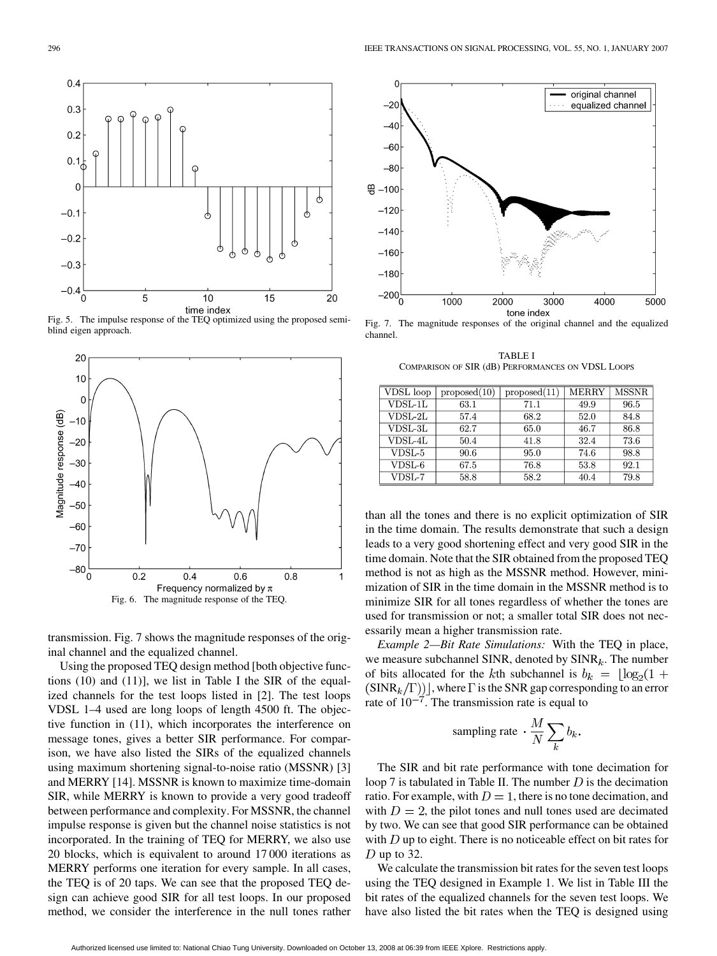<span id="page-6-0"></span>

Fig. 5. The impulse response of the TEQ optimized using the proposed semiblind eigen approach.



transmission. Fig. 7 shows the magnitude responses of the original channel and the equalized channel.

Using the proposed TEQ design method [both objective functions [\(10\)](#page-3-0) and [\(11\)\]](#page-4-0), we list in Table I the SIR of the equalized channels for the test loops listed in [\[2\].](#page-7-0) The test loops VDSL 1–4 used are long loops of length 4500 ft. The objective function in [\(11\)](#page-4-0), which incorporates the interference on message tones, gives a better SIR performance. For comparison, we have also listed the SIRs of the equalized channels using maximum shortening signal-to-noise ratio (MSSNR) [\[3\]](#page-7-0) and MERRY [\[14\].](#page-7-0) MSSNR is known to maximize time-domain SIR, while MERRY is known to provide a very good tradeoff between performance and complexity. For MSSNR, the channel impulse response is given but the channel noise statistics is not incorporated. In the training of TEQ for MERRY, we also use 20 blocks, which is equivalent to around 17 000 iterations as MERRY performs one iteration for every sample. In all cases, the TEQ is of 20 taps. We can see that the proposed TEQ design can achieve good SIR for all test loops. In our proposed method, we consider the interference in the null tones rather



Fig. 7. The magnitude responses of the original channel and the equalized channel.

TABLE I COMPARISON OF SIR (dB) PERFORMANCES ON VDSL LOOPS

| VDSL loop | proposed(10) | <b>MERRY</b><br>proposed(11) |      | <b>MSSNR</b> |  |
|-----------|--------------|------------------------------|------|--------------|--|
| VDSL-1L   | 63.1         | 71.1                         | 49.9 | 96.5         |  |
| $VDSL-2L$ | 57.4         | 68.2                         | 52.0 | 84.8         |  |
| VDSL-3L   | 62.7         | 65.0                         | 46.7 | 86.8         |  |
| VDSL-4L   | 50.4         | 41.8                         | 32.4 | 73.6         |  |
| VDSL-5    | 90.6         | 95.0                         | 74.6 | 98.8         |  |
| VDSL-6    | 67.5         | 76.8                         | 53.8 | 92.1         |  |
| VDSL-7    | 58.8         | 58.2                         | 40.4 | 79.8         |  |

than all the tones and there is no explicit optimization of SIR in the time domain. The results demonstrate that such a design leads to a very good shortening effect and very good SIR in the time domain. Note that the SIR obtained from the proposed TEQ method is not as high as the MSSNR method. However, minimization of SIR in the time domain in the MSSNR method is to minimize SIR for all tones regardless of whether the tones are used for transmission or not; a smaller total SIR does not necessarily mean a higher transmission rate.

*Example 2—Bit Rate Simulations:* With the TEQ in place, we measure subchannel SINR, denoted by  $SINR_k$ . The number of bits allocated for the kth subchannel is  $b_k = |\log_2(1 +$  $(SINR_k/\Gamma))$ , where  $\Gamma$  is the SNR gap corresponding to an error rate of  $10^{-7}$ . The transmission rate is equal to

sampling rate 
$$
\cdot \frac{M}{N} \sum_{k} b_k
$$
.

The SIR and bit rate performance with tone decimation for loop 7 is tabulated in [Table II](#page-7-0). The number  $D$  is the decimation ratio. For example, with  $D = 1$ , there is no tone decimation, and with  $D = 2$ , the pilot tones and null tones used are decimated by two. We can see that good SIR performance can be obtained with  $D$  up to eight. There is no noticeable effect on bit rates for  $D$  up to 32.

We calculate the transmission bit rates for the seven test loops using the TEQ designed in Example 1. We list in [Table III](#page-7-0) the bit rates of the equalized channels for the seven test loops. We have also listed the bit rates when the TEQ is designed using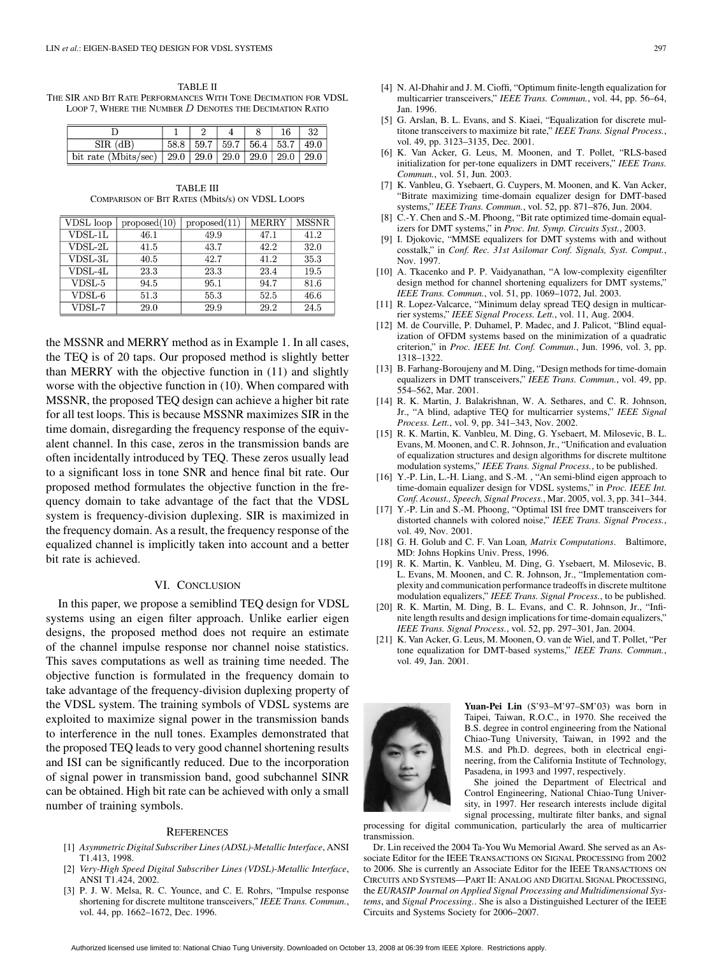<span id="page-7-0"></span>TABLE II THE SIR AND BIT RATE PERFORMANCES WITH TONE DECIMATION FOR VDSL LOOP 7, WHERE THE NUMBER  $D$  DENOTES THE DECIMATION RATIO

|                                                                |                                                     |  | 16 | -32 |
|----------------------------------------------------------------|-----------------------------------------------------|--|----|-----|
| $SIR$ (dB)                                                     | $58.8$   $59.7$   $59.7$   $56.4$   $53.7$   $49.0$ |  |    |     |
| bit rate (Mbits/sec)   29.0   29.0   29.0   29.0   29.0   29.0 |                                                     |  |    |     |

TABLE III COMPARISON OF BIT RATES (Mbits/s) ON VDSL LOOPS

| VDSL loop | proposed(10) | proposed(11) | MERRY | <b>MSSNR</b> |
|-----------|--------------|--------------|-------|--------------|
| VDSL-1L   | 46.1         | 49.9         | 47.1  | 41.2         |
| VDSL-2L   | 41.5         | 43.7         | 42.2  | 32.0         |
| VDSL-3L   | 40.5         | 42.7         | 41.2  | 35.3         |
| VDSL-4L   | 23.3         | 23.3         | 23.4  | 19.5         |
| VDSL-5    | 94.5         | 95.1         | 94.7  | 81.6         |
| VDSL-6    | 51.3         | 55.3         | 52.5  | 46.6         |
| VDSL-7    | 29.0         | 29.9         | 29.2  | 24.5         |

the MSSNR and MERRY method as in Example 1. In all cases, the TEQ is of 20 taps. Our proposed method is slightly better than MERRY with the objective function in [\(11\)](#page-4-0) and slightly worse with the objective function in [\(10\)](#page-3-0). When compared with MSSNR, the proposed TEQ design can achieve a higher bit rate for all test loops. This is because MSSNR maximizes SIR in the time domain, disregarding the frequency response of the equivalent channel. In this case, zeros in the transmission bands are often incidentally introduced by TEQ. These zeros usually lead to a significant loss in tone SNR and hence final bit rate. Our proposed method formulates the objective function in the frequency domain to take advantage of the fact that the VDSL system is frequency-division duplexing. SIR is maximized in the frequency domain. As a result, the frequency response of the equalized channel is implicitly taken into account and a better bit rate is achieved.

## VI. CONCLUSION

In this paper, we propose a semiblind TEQ design for VDSL systems using an eigen filter approach. Unlike earlier eigen designs, the proposed method does not require an estimate of the channel impulse response nor channel noise statistics. This saves computations as well as training time needed. The objective function is formulated in the frequency domain to take advantage of the frequency-division duplexing property of the VDSL system. The training symbols of VDSL systems are exploited to maximize signal power in the transmission bands to interference in the null tones. Examples demonstrated that the proposed TEQ leads to very good channel shortening results and ISI can be significantly reduced. Due to the incorporation of signal power in transmission band, good subchannel SINR can be obtained. High bit rate can be achieved with only a small number of training symbols.

#### **REFERENCES**

- [1] *Asymmetric Digital Subscriber Lines (ADSL)-Metallic Interface*, ANSI T1.413, 1998.
- [2] *Very-High Speed Digital Subscriber Lines (VDSL)-Metallic Interface*, ANSI T1.424, 2002.
- [3] P. J. W. Melsa, R. C. Younce, and C. E. Rohrs, "Impulse response shortening for discrete multitone transceivers," *IEEE Trans. Commun.*, vol. 44, pp. 1662–1672, Dec. 1996.
- [4] N. Al-Dhahir and J. M. Cioffi, "Optimum finite-length equalization for multicarrier transceivers," *IEEE Trans. Commun.*, vol. 44, pp. 56–64, Jan. 1996.
- [5] G. Arslan, B. L. Evans, and S. Kiaei, "Equalization for discrete multitone transceivers to maximize bit rate," *IEEE Trans. Signal Process.*, vol. 49, pp. 3123–3135, Dec. 2001.
- [6] K. Van Acker, G. Leus, M. Moonen, and T. Pollet, "RLS-based initialization for per-tone equalizers in DMT receivers," *IEEE Trans. Commun.*, vol. 51, Jun. 2003.
- [7] K. Vanbleu, G. Ysebaert, G. Cuypers, M. Moonen, and K. Van Acker, "Bitrate maximizing time-domain equalizer design for DMT-based systems," *IEEE Trans. Commun.*, vol. 52, pp. 871–876, Jun. 2004.
- [8] C.-Y. Chen and S.-M. Phoong, "Bit rate optimized time-domain equalizers for DMT systems," in *Proc. Int. Symp. Circuits Syst.*, 2003.
- [9] I. Djokovic, "MMSE equalizers for DMT systems with and without cosstalk," in *Conf. Rec. 31st Asilomar Conf. Signals, Syst. Comput.*, Nov. 1997.
- [10] A. Tkacenko and P. P. Vaidyanathan, "A low-complexity eigenfilter design method for channel shortening equalizers for DMT systems," *IEEE Trans. Commun.*, vol. 51, pp. 1069–1072, Jul. 2003.
- [11] R. Lopez-Valcarce, "Minimum delay spread TEQ design in multicarrier systems," *IEEE Signal Process. Lett.*, vol. 11, Aug. 2004.
- [12] M. de Courville, P. Duhamel, P. Madec, and J. Palicot, "Blind equalization of OFDM systems based on the minimization of a quadratic criterion," in *Proc. IEEE Int. Conf. Commun.*, Jun. 1996, vol. 3, pp. 1318–1322.
- [13] B. Farhang-Boroujeny and M. Ding, "Design methods for time-domain equalizers in DMT transceivers," *IEEE Trans. Commun.*, vol. 49, pp. 554–562, Mar. 2001.
- [14] R. K. Martin, J. Balakrishnan, W. A. Sethares, and C. R. Johnson, Jr., "A blind, adaptive TEQ for multicarrier systems," *IEEE Signal Process. Lett.*, vol. 9, pp. 341–343, Nov. 2002.
- [15] R. K. Martin, K. Vanbleu, M. Ding, G. Ysebaert, M. Milosevic, B. L. Evans, M. Moonen, and C. R. Johnson, Jr., "Unification and evaluation of equalization structures and design algorithms for discrete multitone modulation systems," *IEEE Trans. Signal Process.*, to be published.
- [16] Y.-P. Lin, L.-H. Liang, and S.-M., "An semi-blind eigen approach to time-domain equalizer design for VDSL systems," in *Proc. IEEE Int. Conf. Acoust., Speech, Signal Process.*, Mar. 2005, vol. 3, pp. 341–344.
- [17] Y.-P. Lin and S.-M. Phoong, "Optimal ISI free DMT transceivers for distorted channels with colored noise," *IEEE Trans. Signal Process.*, vol. 49, Nov. 2001.
- [18] G. H. Golub and C. F. Van Loan*, Matrix Computations*. Baltimore, MD: Johns Hopkins Univ. Press, 1996.
- [19] R. K. Martin, K. Vanbleu, M. Ding, G. Ysebaert, M. Milosevic, B. L. Evans, M. Moonen, and C. R. Johnson, Jr., "Implementation complexity and communication performance tradeoffs in discrete multitone modulation equalizers," *IEEE Trans. Signal Process.*, to be published.
- [20] R. K. Martin, M. Ding, B. L. Evans, and C. R. Johnson, Jr., "Infinite length results and design implications for time-domain equalizers," *IEEE Trans. Signal Process.*, vol. 52, pp. 297–301, Jan. 2004.
- [21] K. Van Acker, G. Leus, M. Moonen, O. van de Wiel, and T. Pollet, "Per tone equalization for DMT-based systems," *IEEE Trans. Commun.*, vol. 49, Jan. 2001.



**Yuan-Pei Lin** (S'93–M'97–SM'03) was born in Taipei, Taiwan, R.O.C., in 1970. She received the B.S. degree in control engineering from the National Chiao-Tung University, Taiwan, in 1992 and the M.S. and Ph.D. degrees, both in electrical engineering, from the California Institute of Technology, Pasadena, in 1993 and 1997, respectively.

She joined the Department of Electrical and Control Engineering, National Chiao-Tung University, in 1997. Her research interests include digital signal processing, multirate filter banks, and signal

processing for digital communication, particularly the area of multicarrier transmission.

Dr. Lin received the 2004 Ta-You Wu Memorial Award. She served as an Associate Editor for the IEEE TRANSACTIONS ON SIGNAL PROCESSING from 2002 to 2006. She is currently an Associate Editor for the IEEE TRANSACTIONS ON CIRCUITS AND SYSTEMS—PART II: ANALOG AND DIGITAL SIGNAL PROCESSING, the *EURASIP Journal on Applied Signal Processing and Multidimensional Systems*, and *Signal Processing.*. She is also a Distinguished Lecturer of the IEEE Circuits and Systems Society for 2006–2007.